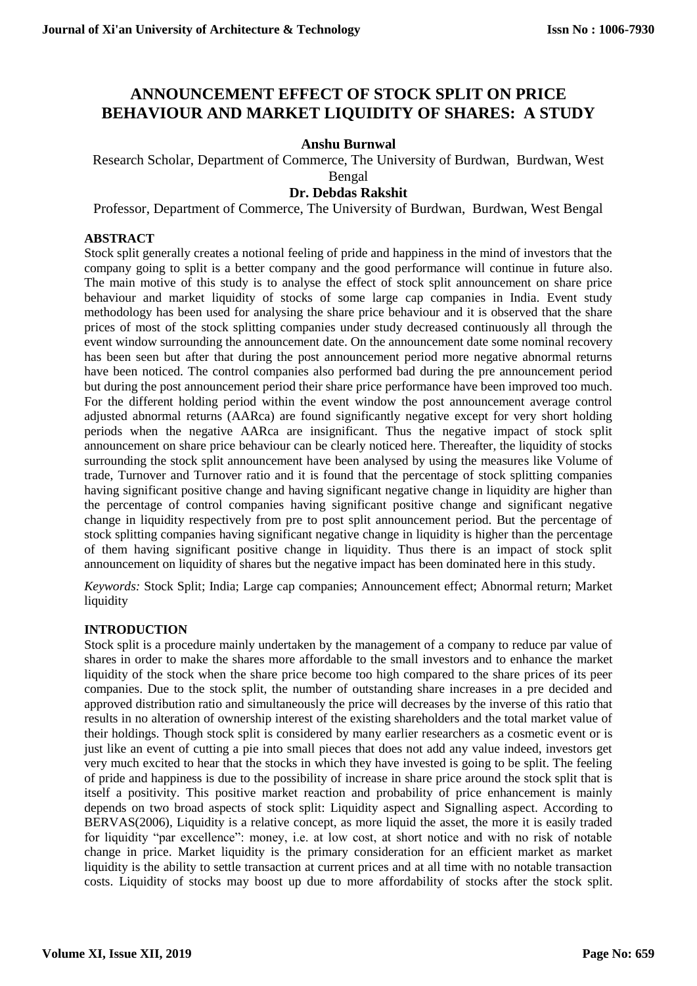# **ANNOUNCEMENT EFFECT OF STOCK SPLIT ON PRICE BEHAVIOUR AND MARKET LIQUIDITY OF SHARES: A STUDY**

# **Anshu Burnwal**

Research Scholar, Department of Commerce, The University of Burdwan, Burdwan, West

Bengal

# **Dr. Debdas Rakshit**

Professor, Department of Commerce, The University of Burdwan, Burdwan, West Bengal

# **ABSTRACT**

Stock split generally creates a notional feeling of pride and happiness in the mind of investors that the company going to split is a better company and the good performance will continue in future also. The main motive of this study is to analyse the effect of stock split announcement on share price behaviour and market liquidity of stocks of some large cap companies in India. Event study methodology has been used for analysing the share price behaviour and it is observed that the share prices of most of the stock splitting companies under study decreased continuously all through the event window surrounding the announcement date. On the announcement date some nominal recovery has been seen but after that during the post announcement period more negative abnormal returns have been noticed. The control companies also performed bad during the pre announcement period but during the post announcement period their share price performance have been improved too much. For the different holding period within the event window the post announcement average control adjusted abnormal returns (AARca) are found significantly negative except for very short holding periods when the negative AARca are insignificant. Thus the negative impact of stock split announcement on share price behaviour can be clearly noticed here. Thereafter, the liquidity of stocks surrounding the stock split announcement have been analysed by using the measures like Volume of trade, Turnover and Turnover ratio and it is found that the percentage of stock splitting companies having significant positive change and having significant negative change in liquidity are higher than the percentage of control companies having significant positive change and significant negative change in liquidity respectively from pre to post split announcement period. But the percentage of stock splitting companies having significant negative change in liquidity is higher than the percentage of them having significant positive change in liquidity. Thus there is an impact of stock split announcement on liquidity of shares but the negative impact has been dominated here in this study.

*Keywords:* Stock Split; India; Large cap companies; Announcement effect; Abnormal return; Market liquidity

#### **INTRODUCTION**

Stock split is a procedure mainly undertaken by the management of a company to reduce par value of shares in order to make the shares more affordable to the small investors and to enhance the market liquidity of the stock when the share price become too high compared to the share prices of its peer companies. Due to the stock split, the number of outstanding share increases in a pre decided and approved distribution ratio and simultaneously the price will decreases by the inverse of this ratio that results in no alteration of ownership interest of the existing shareholders and the total market value of their holdings. Though stock split is considered by many earlier researchers as a cosmetic event or is just like an event of cutting a pie into small pieces that does not add any value indeed, investors get very much excited to hear that the stocks in which they have invested is going to be split. The feeling of pride and happiness is due to the possibility of increase in share price around the stock split that is itself a positivity. This positive market reaction and probability of price enhancement is mainly depends on two broad aspects of stock split: Liquidity aspect and Signalling aspect. According to BERVAS(2006), Liquidity is a relative concept, as more liquid the asset, the more it is easily traded for liquidity "par excellence": money, i.e. at low cost, at short notice and with no risk of notable change in price. Market liquidity is the primary consideration for an efficient market as market liquidity is the ability to settle transaction at current prices and at all time with no notable transaction costs. Liquidity of stocks may boost up due to more affordability of stocks after the stock split.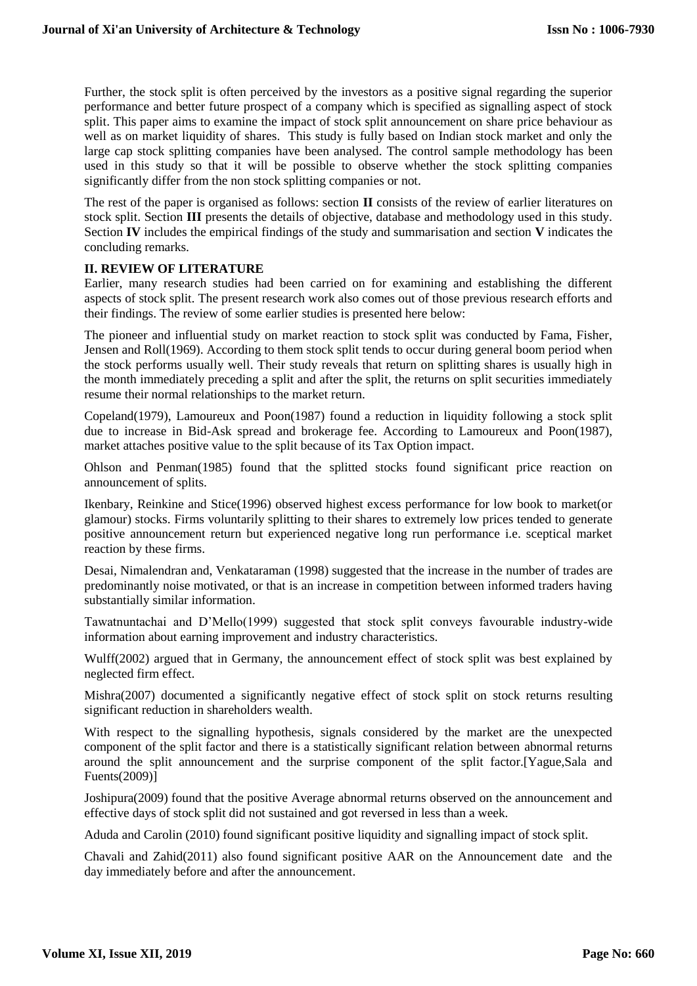Further, the stock split is often perceived by the investors as a positive signal regarding the superior performance and better future prospect of a company which is specified as signalling aspect of stock split. This paper aims to examine the impact of stock split announcement on share price behaviour as well as on market liquidity of shares. This study is fully based on Indian stock market and only the large cap stock splitting companies have been analysed. The control sample methodology has been used in this study so that it will be possible to observe whether the stock splitting companies significantly differ from the non stock splitting companies or not.

The rest of the paper is organised as follows: section **II** consists of the review of earlier literatures on stock split. Section **III** presents the details of objective, database and methodology used in this study. Section **IV** includes the empirical findings of the study and summarisation and section **V** indicates the concluding remarks.

# **II. REVIEW OF LITERATURE**

Earlier, many research studies had been carried on for examining and establishing the different aspects of stock split. The present research work also comes out of those previous research efforts and their findings. The review of some earlier studies is presented here below:

The pioneer and influential study on market reaction to stock split was conducted by Fama, Fisher, Jensen and Roll(1969). According to them stock split tends to occur during general boom period when the stock performs usually well. Their study reveals that return on splitting shares is usually high in the month immediately preceding a split and after the split, the returns on split securities immediately resume their normal relationships to the market return.

Copeland(1979), Lamoureux and Poon(1987) found a reduction in liquidity following a stock split due to increase in Bid-Ask spread and brokerage fee. According to Lamoureux and Poon(1987), market attaches positive value to the split because of its Tax Option impact.

Ohlson and Penman(1985) found that the splitted stocks found significant price reaction on announcement of splits.

Ikenbary, Reinkine and Stice(1996) observed highest excess performance for low book to market(or glamour) stocks. Firms voluntarily splitting to their shares to extremely low prices tended to generate positive announcement return but experienced negative long run performance i.e. sceptical market reaction by these firms.

Desai, Nimalendran and, Venkataraman (1998) suggested that the increase in the number of trades are predominantly noise motivated, or that is an increase in competition between informed traders having substantially similar information.

Tawatnuntachai and D'Mello(1999) suggested that stock split conveys favourable industry-wide information about earning improvement and industry characteristics.

Wulff(2002) argued that in Germany, the announcement effect of stock split was best explained by neglected firm effect.

Mishra(2007) documented a significantly negative effect of stock split on stock returns resulting significant reduction in shareholders wealth.

With respect to the signalling hypothesis, signals considered by the market are the unexpected component of the split factor and there is a statistically significant relation between abnormal returns around the split announcement and the surprise component of the split factor.[Yague,Sala and Fuents(2009)]

Joshipura(2009) found that the positive Average abnormal returns observed on the announcement and effective days of stock split did not sustained and got reversed in less than a week.

Aduda and Carolin (2010) found significant positive liquidity and signalling impact of stock split.

Chavali and Zahid(2011) also found significant positive AAR on the Announcement date and the day immediately before and after the announcement.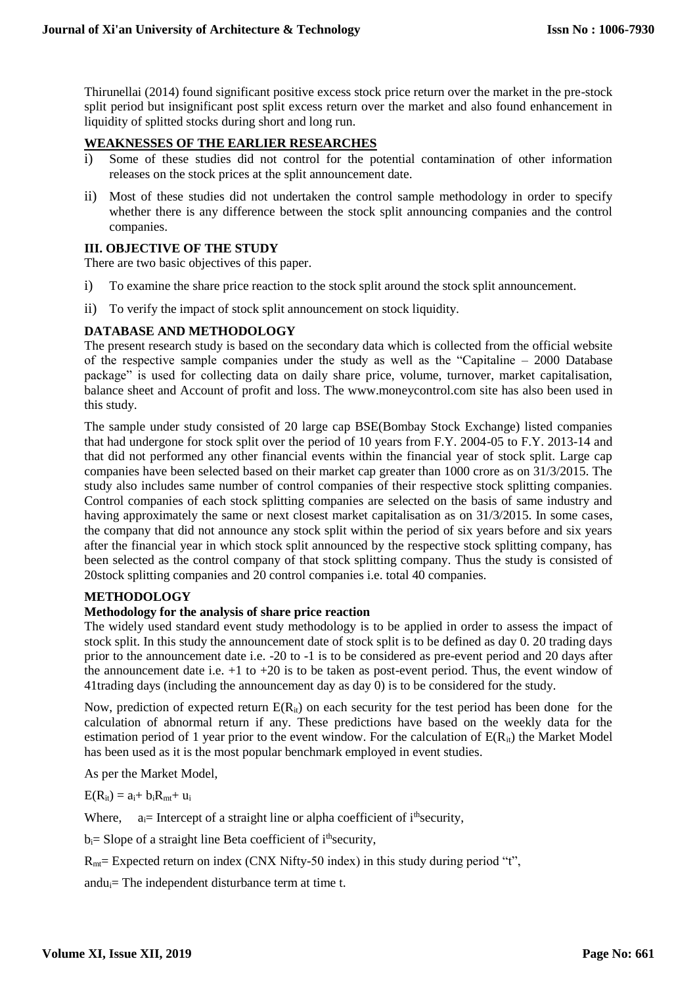Thirunellai (2014) found significant positive excess stock price return over the market in the pre-stock split period but insignificant post split excess return over the market and also found enhancement in liquidity of splitted stocks during short and long run.

# **WEAKNESSES OF THE EARLIER RESEARCHES**

- i) Some of these studies did not control for the potential contamination of other information releases on the stock prices at the split announcement date.
- ii) Most of these studies did not undertaken the control sample methodology in order to specify whether there is any difference between the stock split announcing companies and the control companies.

#### **III. OBJECTIVE OF THE STUDY**

There are two basic objectives of this paper.

- i) To examine the share price reaction to the stock split around the stock split announcement.
- ii) To verify the impact of stock split announcement on stock liquidity.

# **DATABASE AND METHODOLOGY**

The present research study is based on the secondary data which is collected from the official website of the respective sample companies under the study as well as the "Capitaline – 2000 Database package" is used for collecting data on daily share price, volume, turnover, market capitalisation, balance sheet and Account of profit and loss. The www.moneycontrol.com site has also been used in this study.

The sample under study consisted of 20 large cap BSE(Bombay Stock Exchange) listed companies that had undergone for stock split over the period of 10 years from F.Y. 2004-05 to F.Y. 2013-14 and that did not performed any other financial events within the financial year of stock split. Large cap companies have been selected based on their market cap greater than 1000 crore as on 31/3/2015. The study also includes same number of control companies of their respective stock splitting companies. Control companies of each stock splitting companies are selected on the basis of same industry and having approximately the same or next closest market capitalisation as on 31/3/2015. In some cases, the company that did not announce any stock split within the period of six years before and six years after the financial year in which stock split announced by the respective stock splitting company, has been selected as the control company of that stock splitting company. Thus the study is consisted of 20stock splitting companies and 20 control companies i.e. total 40 companies.

# **METHODOLOGY**

#### **Methodology for the analysis of share price reaction**

The widely used standard event study methodology is to be applied in order to assess the impact of stock split. In this study the announcement date of stock split is to be defined as day 0. 20 trading days prior to the announcement date i.e. -20 to -1 is to be considered as pre-event period and 20 days after the announcement date i.e.  $+1$  to  $+20$  is to be taken as post-event period. Thus, the event window of 41trading days (including the announcement day as day 0) is to be considered for the study.

Now, prediction of expected return  $E(R_{it})$  on each security for the test period has been done for the calculation of abnormal return if any. These predictions have based on the weekly data for the estimation period of 1 year prior to the event window. For the calculation of  $E(R_{it})$  the Market Model has been used as it is the most popular benchmark employed in event studies.

As per the Market Model,

 $E(R_{it}) = a_i + b_i R_{mt} + u_i$ 

Where,  $a_{i}$  = Intercept of a straight line or alpha coefficient of i<sup>th</sup>security,

 $b_i$  = Slope of a straight line Beta coefficient of i<sup>th</sup>security,

 $R<sub>mt</sub>=$  Expected return on index (CNX Nifty-50 index) in this study during period "t",

andu $i$ = The independent disturbance term at time t.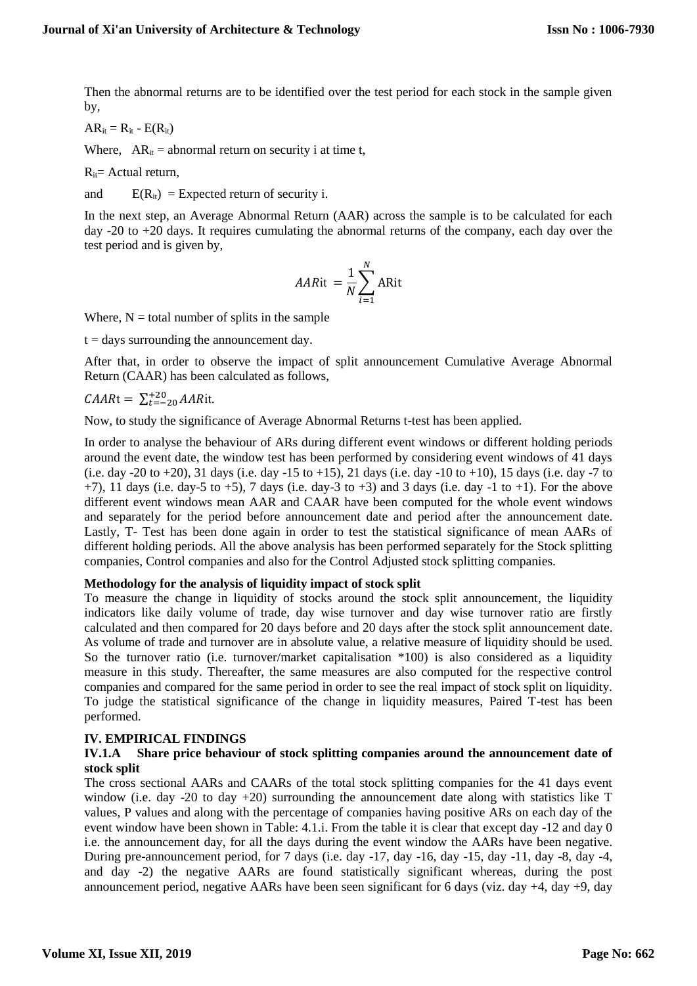Then the abnormal returns are to be identified over the test period for each stock in the sample given by,

 $AR_{it} = R_{it} - E(R_{it})$ 

Where,  $AR_{it} =$  abnormal return on security i at time t,

 $R_{it}$ = Actual return,

and  $E(R_{it}) =$  Expected return of security i.

In the next step, an Average Abnormal Return (AAR) across the sample is to be calculated for each day -20 to +20 days. It requires cumulating the abnormal returns of the company, each day over the test period and is given by,

$$
AARit = \frac{1}{N} \sum_{i=1}^{N} ARit
$$

Where,  $N =$  total number of splits in the sample

 $t =$  days surrounding the announcement day.

After that, in order to observe the impact of split announcement Cumulative Average Abnormal Return (CAAR) has been calculated as follows,

$$
CAARt = \sum_{t=-20}^{+20} AARit.
$$

Now, to study the significance of Average Abnormal Returns t-test has been applied.

In order to analyse the behaviour of ARs during different event windows or different holding periods around the event date, the window test has been performed by considering event windows of 41 days (i.e. day -20 to +20), 31 days (i.e. day -15 to +15), 21 days (i.e. day -10 to +10), 15 days (i.e. day -7 to  $+7$ ), 11 days (i.e. day-5 to  $+5$ ), 7 days (i.e. day-3 to  $+3$ ) and 3 days (i.e. day  $-1$  to  $+1$ ). For the above different event windows mean AAR and CAAR have been computed for the whole event windows and separately for the period before announcement date and period after the announcement date. Lastly, T- Test has been done again in order to test the statistical significance of mean AARs of different holding periods. All the above analysis has been performed separately for the Stock splitting companies, Control companies and also for the Control Adjusted stock splitting companies.

#### **Methodology for the analysis of liquidity impact of stock split**

To measure the change in liquidity of stocks around the stock split announcement, the liquidity indicators like daily volume of trade, day wise turnover and day wise turnover ratio are firstly calculated and then compared for 20 days before and 20 days after the stock split announcement date. As volume of trade and turnover are in absolute value, a relative measure of liquidity should be used. So the turnover ratio (i.e. turnover/market capitalisation  $*100$ ) is also considered as a liquidity measure in this study. Thereafter, the same measures are also computed for the respective control companies and compared for the same period in order to see the real impact of stock split on liquidity. To judge the statistical significance of the change in liquidity measures, Paired T-test has been performed.

#### **IV. EMPIRICAL FINDINGS**

#### **IV.1.A Share price behaviour of stock splitting companies around the announcement date of stock split**

The cross sectional AARs and CAARs of the total stock splitting companies for the 41 days event window (i.e. day -20 to day  $+20$ ) surrounding the announcement date along with statistics like T values, P values and along with the percentage of companies having positive ARs on each day of the event window have been shown in Table: 4.1.i. From the table it is clear that except day -12 and day 0 i.e. the announcement day, for all the days during the event window the AARs have been negative. During pre-announcement period, for 7 days (i.e. day -17, day -16, day -15, day -11, day -8, day -4, and day -2) the negative AARs are found statistically significant whereas, during the post announcement period, negative AARs have been seen significant for 6 days (viz. day +4, day +9, day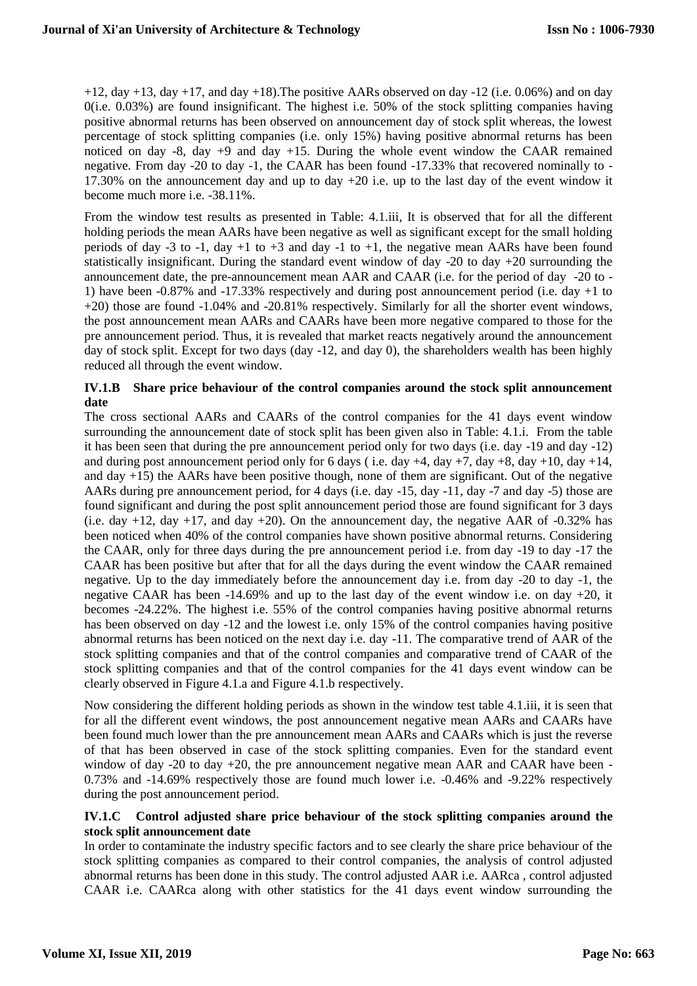$+12$ , day  $+13$ , day  $+17$ , and day  $+18$ ). The positive AARs observed on day  $-12$  (i.e. 0.06%) and on day 0(i.e. 0.03%) are found insignificant. The highest i.e. 50% of the stock splitting companies having positive abnormal returns has been observed on announcement day of stock split whereas, the lowest percentage of stock splitting companies (i.e. only 15%) having positive abnormal returns has been noticed on day  $-8$ , day  $+9$  and day  $+15$ . During the whole event window the CAAR remained negative. From day -20 to day -1, the CAAR has been found -17.33% that recovered nominally to - 17.30% on the announcement day and up to day +20 i.e. up to the last day of the event window it become much more i.e. -38.11%.

From the window test results as presented in Table: 4.1.iii, It is observed that for all the different holding periods the mean AARs have been negative as well as significant except for the small holding periods of day -3 to -1, day +1 to +3 and day -1 to +1, the negative mean AARs have been found statistically insignificant. During the standard event window of day -20 to day +20 surrounding the announcement date, the pre-announcement mean AAR and CAAR (i.e. for the period of day -20 to - 1) have been -0.87% and -17.33% respectively and during post announcement period (i.e. day +1 to +20) those are found -1.04% and -20.81% respectively. Similarly for all the shorter event windows, the post announcement mean AARs and CAARs have been more negative compared to those for the pre announcement period. Thus, it is revealed that market reacts negatively around the announcement day of stock split. Except for two days (day -12, and day 0), the shareholders wealth has been highly reduced all through the event window.

# **IV.1.B Share price behaviour of the control companies around the stock split announcement date**

The cross sectional AARs and CAARs of the control companies for the 41 days event window surrounding the announcement date of stock split has been given also in Table: 4.1.i. From the table it has been seen that during the pre announcement period only for two days (i.e. day -19 and day -12) and during post announcement period only for 6 days (i.e. day  $+4$ , day  $+7$ , day  $+8$ , day  $+10$ , day  $+14$ , and day +15) the AARs have been positive though, none of them are significant. Out of the negative AARs during pre announcement period, for 4 days (i.e. day -15, day -11, day -7 and day -5) those are found significant and during the post split announcement period those are found significant for 3 days (i.e. day  $+12$ , day  $+17$ , and day  $+20$ ). On the announcement day, the negative AAR of  $-0.32\%$  has been noticed when 40% of the control companies have shown positive abnormal returns. Considering the CAAR, only for three days during the pre announcement period i.e. from day -19 to day -17 the CAAR has been positive but after that for all the days during the event window the CAAR remained negative. Up to the day immediately before the announcement day i.e. from day -20 to day -1, the negative CAAR has been -14.69% and up to the last day of the event window i.e. on day +20, it becomes -24.22%. The highest i.e. 55% of the control companies having positive abnormal returns has been observed on day -12 and the lowest i.e. only 15% of the control companies having positive abnormal returns has been noticed on the next day i.e. day -11. The comparative trend of AAR of the stock splitting companies and that of the control companies and comparative trend of CAAR of the stock splitting companies and that of the control companies for the 41 days event window can be clearly observed in Figure 4.1.a and Figure 4.1.b respectively.

Now considering the different holding periods as shown in the window test table 4.1.iii, it is seen that for all the different event windows, the post announcement negative mean AARs and CAARs have been found much lower than the pre announcement mean AARs and CAARs which is just the reverse of that has been observed in case of the stock splitting companies. Even for the standard event window of day  $-20$  to day  $+20$ , the pre announcement negative mean AAR and CAAR have been -0.73% and -14.69% respectively those are found much lower i.e. -0.46% and -9.22% respectively during the post announcement period.

#### **IV.1.C Control adjusted share price behaviour of the stock splitting companies around the stock split announcement date**

In order to contaminate the industry specific factors and to see clearly the share price behaviour of the stock splitting companies as compared to their control companies, the analysis of control adjusted abnormal returns has been done in this study. The control adjusted AAR i.e. AARca , control adjusted CAAR i.e. CAARca along with other statistics for the 41 days event window surrounding the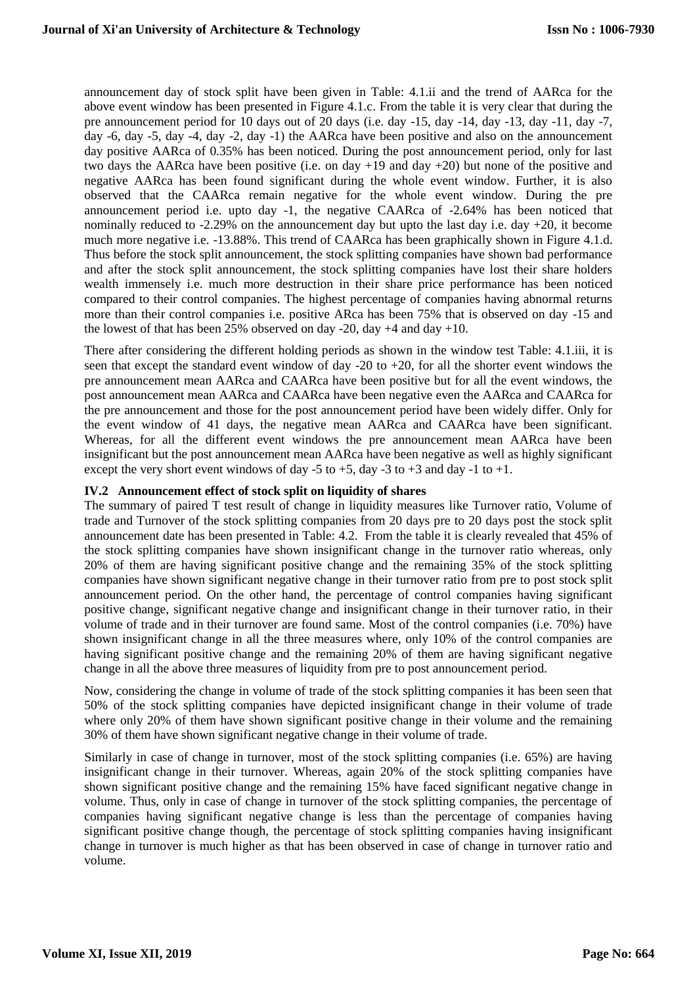announcement day of stock split have been given in Table: 4.1.ii and the trend of AARca for the above event window has been presented in Figure 4.1.c. From the table it is very clear that during the pre announcement period for 10 days out of 20 days (i.e. day -15, day -14, day -13, day -11, day -7, day -6, day -5, day -4, day -2, day -1) the AARca have been positive and also on the announcement day positive AARca of 0.35% has been noticed. During the post announcement period, only for last two days the AARca have been positive (i.e. on day  $+19$  and day  $+20$ ) but none of the positive and negative AARca has been found significant during the whole event window. Further, it is also observed that the CAARca remain negative for the whole event window. During the pre announcement period i.e. upto day -1, the negative CAARca of -2.64% has been noticed that nominally reduced to -2.29% on the announcement day but upto the last day i.e. day +20, it become much more negative i.e. -13.88%. This trend of CAARca has been graphically shown in Figure 4.1.d. Thus before the stock split announcement, the stock splitting companies have shown bad performance and after the stock split announcement, the stock splitting companies have lost their share holders wealth immensely i.e. much more destruction in their share price performance has been noticed compared to their control companies. The highest percentage of companies having abnormal returns more than their control companies i.e. positive ARca has been 75% that is observed on day -15 and the lowest of that has been 25% observed on day -20, day  $+4$  and day  $+10$ .

There after considering the different holding periods as shown in the window test Table: 4.1.iii, it is seen that except the standard event window of day -20 to +20, for all the shorter event windows the pre announcement mean AARca and CAARca have been positive but for all the event windows, the post announcement mean AARca and CAARca have been negative even the AARca and CAARca for the pre announcement and those for the post announcement period have been widely differ. Only for the event window of 41 days, the negative mean AARca and CAARca have been significant. Whereas, for all the different event windows the pre announcement mean AARca have been insignificant but the post announcement mean AARca have been negative as well as highly significant except the very short event windows of day -5 to +5, day -3 to +3 and day -1 to +1.

#### **IV.2 Announcement effect of stock split on liquidity of shares**

The summary of paired T test result of change in liquidity measures like Turnover ratio, Volume of trade and Turnover of the stock splitting companies from 20 days pre to 20 days post the stock split announcement date has been presented in Table: 4.2. From the table it is clearly revealed that 45% of the stock splitting companies have shown insignificant change in the turnover ratio whereas, only 20% of them are having significant positive change and the remaining 35% of the stock splitting companies have shown significant negative change in their turnover ratio from pre to post stock split announcement period. On the other hand, the percentage of control companies having significant positive change, significant negative change and insignificant change in their turnover ratio, in their volume of trade and in their turnover are found same. Most of the control companies (i.e. 70%) have shown insignificant change in all the three measures where, only 10% of the control companies are having significant positive change and the remaining 20% of them are having significant negative change in all the above three measures of liquidity from pre to post announcement period.

Now, considering the change in volume of trade of the stock splitting companies it has been seen that 50% of the stock splitting companies have depicted insignificant change in their volume of trade where only 20% of them have shown significant positive change in their volume and the remaining 30% of them have shown significant negative change in their volume of trade.

Similarly in case of change in turnover, most of the stock splitting companies (i.e. 65%) are having insignificant change in their turnover. Whereas, again 20% of the stock splitting companies have shown significant positive change and the remaining 15% have faced significant negative change in volume. Thus, only in case of change in turnover of the stock splitting companies, the percentage of companies having significant negative change is less than the percentage of companies having significant positive change though, the percentage of stock splitting companies having insignificant change in turnover is much higher as that has been observed in case of change in turnover ratio and volume.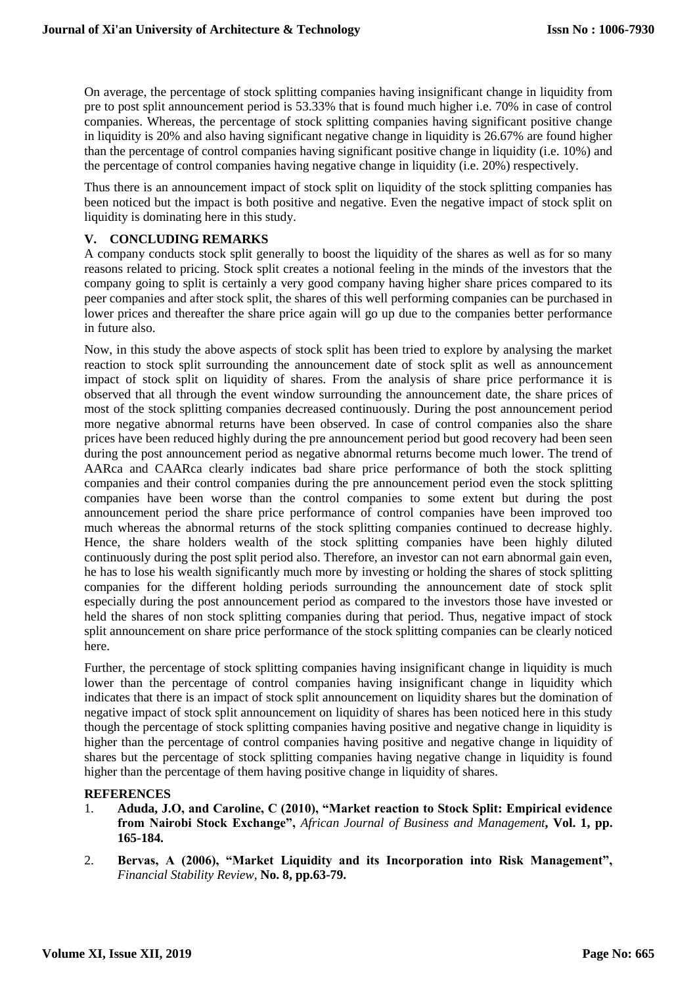On average, the percentage of stock splitting companies having insignificant change in liquidity from pre to post split announcement period is 53.33% that is found much higher i.e. 70% in case of control companies. Whereas, the percentage of stock splitting companies having significant positive change in liquidity is 20% and also having significant negative change in liquidity is 26.67% are found higher than the percentage of control companies having significant positive change in liquidity (i.e. 10%) and the percentage of control companies having negative change in liquidity (i.e. 20%) respectively.

Thus there is an announcement impact of stock split on liquidity of the stock splitting companies has been noticed but the impact is both positive and negative. Even the negative impact of stock split on liquidity is dominating here in this study.

# **V. CONCLUDING REMARKS**

A company conducts stock split generally to boost the liquidity of the shares as well as for so many reasons related to pricing. Stock split creates a notional feeling in the minds of the investors that the company going to split is certainly a very good company having higher share prices compared to its peer companies and after stock split, the shares of this well performing companies can be purchased in lower prices and thereafter the share price again will go up due to the companies better performance in future also.

Now, in this study the above aspects of stock split has been tried to explore by analysing the market reaction to stock split surrounding the announcement date of stock split as well as announcement impact of stock split on liquidity of shares. From the analysis of share price performance it is observed that all through the event window surrounding the announcement date, the share prices of most of the stock splitting companies decreased continuously. During the post announcement period more negative abnormal returns have been observed. In case of control companies also the share prices have been reduced highly during the pre announcement period but good recovery had been seen during the post announcement period as negative abnormal returns become much lower. The trend of AARca and CAARca clearly indicates bad share price performance of both the stock splitting companies and their control companies during the pre announcement period even the stock splitting companies have been worse than the control companies to some extent but during the post announcement period the share price performance of control companies have been improved too much whereas the abnormal returns of the stock splitting companies continued to decrease highly. Hence, the share holders wealth of the stock splitting companies have been highly diluted continuously during the post split period also. Therefore, an investor can not earn abnormal gain even, he has to lose his wealth significantly much more by investing or holding the shares of stock splitting companies for the different holding periods surrounding the announcement date of stock split especially during the post announcement period as compared to the investors those have invested or held the shares of non stock splitting companies during that period. Thus, negative impact of stock split announcement on share price performance of the stock splitting companies can be clearly noticed here.

Further, the percentage of stock splitting companies having insignificant change in liquidity is much lower than the percentage of control companies having insignificant change in liquidity which indicates that there is an impact of stock split announcement on liquidity shares but the domination of negative impact of stock split announcement on liquidity of shares has been noticed here in this study though the percentage of stock splitting companies having positive and negative change in liquidity is higher than the percentage of control companies having positive and negative change in liquidity of shares but the percentage of stock splitting companies having negative change in liquidity is found higher than the percentage of them having positive change in liquidity of shares.

# **REFERENCES**

- 1. **Aduda, J.O, and Caroline, C (2010), "Market reaction to Stock Split: Empirical evidence from Nairobi Stock Exchange",** *African Journal of Business and Management***, Vol. 1, pp. 165-184.**
- 2. **Bervas, A (2006), "Market Liquidity and its Incorporation into Risk Management",**  *Financial Stability Review,* **No. 8, pp.63-79.**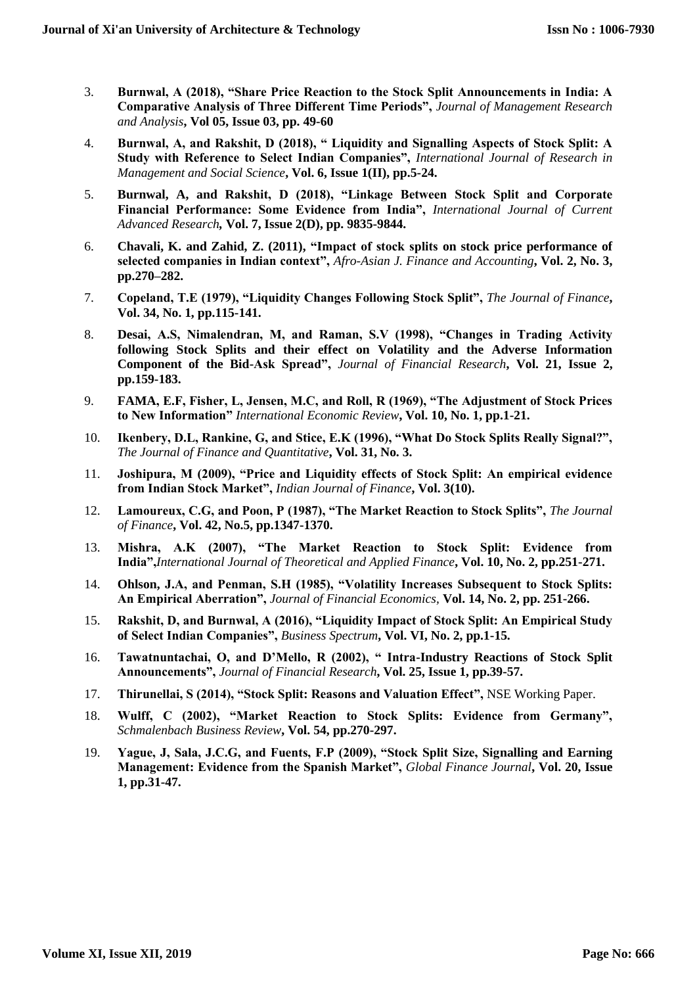- 3. **Burnwal, A (2018), "Share Price Reaction to the Stock Split Announcements in India: A Comparative Analysis of Three Different Time Periods",** *Journal of Management Research and Analysis***, Vol 05, Issue 03, pp. 49-60**
- 4. **Burnwal, A, and Rakshit, D (2018), " Liquidity and Signalling Aspects of Stock Split: A Study with Reference to Select Indian Companies",** *International Journal of Research in Management and Social Science***, Vol. 6, Issue 1(II), pp.5-24.**
- 5. **Burnwal, A, and Rakshit, D (2018), "Linkage Between Stock Split and Corporate Financial Performance: Some Evidence from India",** *International Journal of Current Advanced Research,* **Vol. 7, Issue 2(D), pp. 9835-9844.**
- 6. **Chavali, K. and Zahid, Z. (2011), "Impact of stock splits on stock price performance of selected companies in Indian context",** *Afro-Asian J. Finance and Accounting***, Vol. 2, No. 3, pp.270–282.**
- 7. **Copeland, T.E (1979), "Liquidity Changes Following Stock Split",** *The Journal of Finance***, Vol. 34, No. 1, pp.115-141.**
- 8. **Desai, A.S, Nimalendran, M, and Raman, S.V (1998), "Changes in Trading Activity following Stock Splits and their effect on Volatility and the Adverse Information Component of the Bid-Ask Spread",** *Journal of Financial Research***, Vol. 21, Issue 2, pp.159-183.**
- 9. **FAMA, E.F, Fisher, L, Jensen, M.C, and Roll, R (1969), "The Adjustment of Stock Prices to New Information"** *International Economic Review***, Vol. 10, No. 1, pp.1-21.**
- 10. **Ikenbery, D.L, Rankine, G, and Stice, E.K (1996), "What Do Stock Splits Really Signal?",** *The Journal of Finance and Quantitative***, Vol. 31, No. 3.**
- 11. **Joshipura, M (2009), "Price and Liquidity effects of Stock Split: An empirical evidence from Indian Stock Market",** *Indian Journal of Finance***, Vol. 3(10).**
- 12. **Lamoureux, C.G, and Poon, P (1987), "The Market Reaction to Stock Splits",** *The Journal of Finance***, Vol. 42, No.5, pp.1347-1370.**
- 13. **Mishra, A.K (2007), "The Market Reaction to Stock Split: Evidence from India",***International Journal of Theoretical and Applied Finance***, Vol. 10, No. 2, pp.251-271.**
- 14. **Ohlson, J.A, and Penman, S.H (1985), "Volatility Increases Subsequent to Stock Splits: An Empirical Aberration",** *Journal of Financial Economics,* **Vol. 14, No. 2, pp. 251-266.**
- 15. **Rakshit, D, and Burnwal, A (2016), "Liquidity Impact of Stock Split: An Empirical Study of Select Indian Companies",** *Business Spectrum***, Vol. VI, No. 2, pp.1-15.**
- 16. **Tawatnuntachai, O, and D'Mello, R (2002), " Intra-Industry Reactions of Stock Split Announcements",** *Journal of Financial Research***, Vol. 25, Issue 1, pp.39-57.**
- 17. **Thirunellai, S (2014), "Stock Split: Reasons and Valuation Effect",** NSE Working Paper.
- 18. **Wulff, C (2002), "Market Reaction to Stock Splits: Evidence from Germany",**  *Schmalenbach Business Review***, Vol. 54, pp.270-297.**
- 19. **Yague, J, Sala, J.C.G, and Fuents, F.P (2009), "Stock Split Size, Signalling and Earning Management: Evidence from the Spanish Market",** *Global Finance Journal***, Vol. 20, Issue 1, pp.31-47.**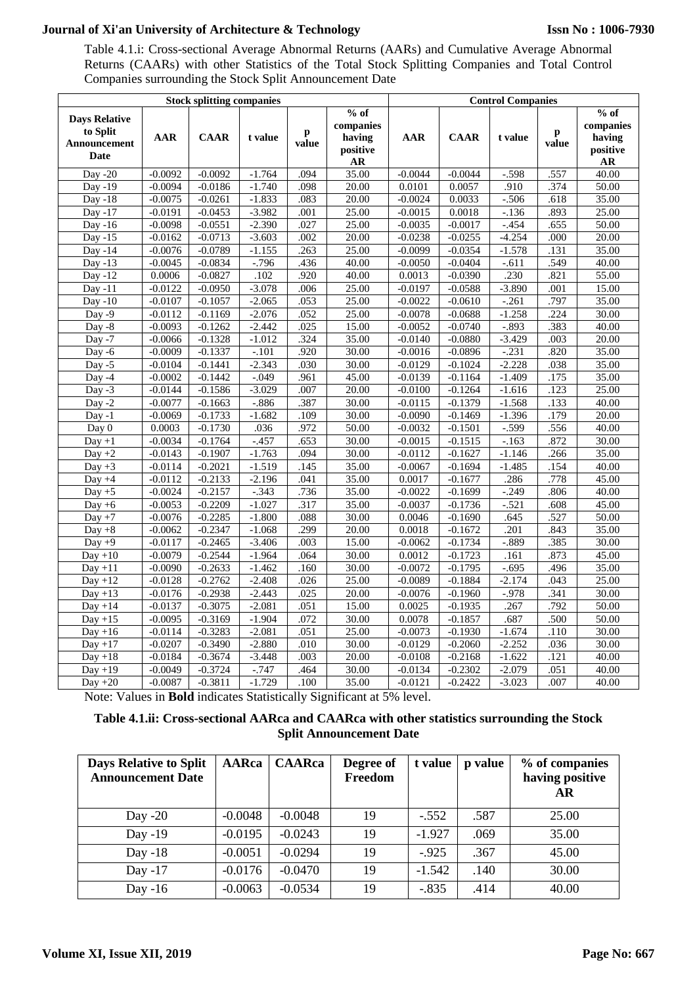Table 4.1.i: Cross-sectional Average Abnormal Returns (AARs) and Cumulative Average Abnormal Returns (CAARs) with other Statistics of the Total Stock Splitting Companies and Total Control Companies surrounding the Stock Split Announcement Date

| <b>Stock splitting companies</b>                         |                        |                        |                      |              |                                                 |                     | <b>Control Companies</b> |                  |              |                                                         |  |
|----------------------------------------------------------|------------------------|------------------------|----------------------|--------------|-------------------------------------------------|---------------------|--------------------------|------------------|--------------|---------------------------------------------------------|--|
| <b>Days Relative</b><br>to Split<br>Announcement<br>Date | <b>AAR</b>             | <b>CAAR</b>            | t value              | p<br>value   | $%$ of<br>companies<br>having<br>positive<br>AR | AAR                 | <b>CAAR</b>              | t value          | p<br>value   | $%$ of<br>companies<br>having<br>positive<br>${\bf AR}$ |  |
| Day - $20$                                               | $-0.0092$              | $-0.0092$              | $-1.764$             | .094         | 35.00                                           | $-0.0044$           | $-0.0044$                | $-598$           | .557         | $\overline{40.00}$                                      |  |
| Day -19                                                  | $-0.0094$              | $-0.0186$              | $-1.740$             | .098         | 20.00                                           | 0.0101              | 0.0057                   | .910             | .374         | 50.00                                                   |  |
| Day $-18$                                                | $-0.0075$              | $-0.0261$              | $-1.833$             | .083         | 20.00                                           | $-0.0024$           | 0.0033                   | $-.506$          | .618         | 35.00                                                   |  |
| Day -17                                                  | $-0.0191$              | $-0.0453$              | $-3.982$             | .001         | 25.00                                           | $-0.0015$           | 0.0018                   | $-.136$          | .893         | 25.00                                                   |  |
| Day -16                                                  | $-0.0098$              | $-0.0551$              | $-2.390$             | .027         | 25.00                                           | $-0.0035$           | $-0.0017$                | $-454$           | .655         | 50.00                                                   |  |
| Day $-15$                                                | $-0.0162$              | $-0.0713$              | $-3.603$             | .002         | 20.00                                           | $-0.0238$           | $-0.0255$                | $-4.254$         | .000         | 20.00                                                   |  |
| Day -14                                                  | $-0.0076$              | $-0.0789$              | $-1.155$             | .263         | 25.00                                           | $-0.0099$           | $-0.0354$                | $-1.578$         | .131         | 35.00                                                   |  |
| Day $-13$                                                | $-0.0045$<br>0.0006    | $-0.0834$              | $-.796$              | .436<br>.920 | 40.00                                           | $-0.0050$           | $-0.0404$                | $-.611$<br>.230  | .549<br>.821 | 40.00<br>55.00                                          |  |
| Day $-12$<br>Day -11                                     | $-0.0122$              | $-0.0827$<br>$-0.0950$ | .102<br>$-3.078$     | .006         | 40.00<br>25.00                                  | 0.0013<br>$-0.0197$ | $-0.0390$<br>$-0.0588$   | $-3.890$         | .001         | 15.00                                                   |  |
| $Day - 10$                                               | $-0.0107$              | $-0.1057$              | $-2.065$             | .053         | 25.00                                           | $-0.0022$           | $-0.0610$                | $-261$           | .797         | 35.00                                                   |  |
| Day $-9$                                                 | $-0.0112$              | $-0.1169$              | $-2.076$             | .052         | 25.00                                           | $-0.0078$           | $-0.0688$                | $-1.258$         | .224         | 30.00                                                   |  |
| Day -8                                                   | $-0.0093$              | $-0.1262$              | $-2.442$             | .025         | 15.00                                           | $-0.0052$           | $-0.0740$                | $-.893$          | .383         | 40.00                                                   |  |
| Day -7                                                   | $-0.0066$              | $-0.1328$              | $-1.012$             | .324         | 35.00                                           | $-0.0140$           | $-0.0880$                | $-3.429$         | .003         | 20.00                                                   |  |
| Day -6                                                   | $-0.0009$              | $-0.1337$              | $-101$               | .920         | 30.00                                           | $-0.0016$           | $-0.0896$                | $-231$           | .820         | 35.00                                                   |  |
| Day $-5$                                                 | $-0.0104$              | $-0.1441$              | $-2.343$             | .030         | 30.00                                           | $-0.0129$           | $-0.1024$                | $-2.228$         | .038         | 35.00                                                   |  |
| Day -4                                                   | $-0.0002$              | $-0.1442$              | $-.049$              | .961         | 45.00                                           | $-0.0139$           | $-0.1164$                | $-1.409$         | .175         | 35.00                                                   |  |
| Day $-3$                                                 | $-0.0144$              | $-0.1586$              | $-3.029$             | .007         | 20.00                                           | $-0.0100$           | $-0.1264$                | $-1.616$         | .123         | 25.00                                                   |  |
| Day $-2$                                                 | $-0.0077$              | $-0.1663$              | $-0.886$             | .387         | 30.00                                           | $-0.0115$           | $-0.1379$                | $-1.568$         | .133         | 40.00                                                   |  |
| $Day -1$                                                 | $-0.0069$              | $-0.1733$              | $-1.682$             | .109         | 30.00                                           | $-0.0090$           | $-0.1469$                | $-1.396$         | .179         | 20.00                                                   |  |
| Day 0                                                    | 0.0003                 | $-0.1730$              | .036                 | .972         | 50.00                                           | $-0.0032$           | $-0.1501$                | $-0.599$         | .556         | 40.00                                                   |  |
| $Day + 1$                                                | $-0.0034$              | $-0.1764$              | $-.457$              | .653         | 30.00                                           | $-0.0015$           | $-0.1515$                | $-163$           | .872         | 30.00                                                   |  |
| Day $+2$                                                 | $-0.0143$              | $-0.1907$              | $-1.763$             | .094         | 30.00                                           | $-0.0112$           | $-0.1627$                | $-1.146$         | .266         | 35.00                                                   |  |
| $Day +3$                                                 | $-0.0114$              | $-0.2021$              | $-1.519$             | .145         | 35.00                                           | $-0.0067$           | $-0.1694$                | $-1.485$         | .154         | 40.00                                                   |  |
| Day $+4$                                                 | $-0.0112$              | $-0.2133$              | $-2.196$             | .041         | 35.00                                           | 0.0017              | $-0.1677$                | .286             | .778         | 45.00                                                   |  |
| Day $+5$                                                 | $-0.0024$              | $-0.2157$              | $-.343$              | .736         | 35.00                                           | $-0.0022$           | $-0.1699$                | $-0.249$         | .806         | 40.00                                                   |  |
| Day $+6$                                                 | $-0.0053$              | $-0.2209$              | $-1.027$             | .317         | 35.00                                           | $-0.0037$           | $-0.1736$                | $-521$           | .608         | 45.00                                                   |  |
| Day $+7$                                                 | $-0.0076$              | $-0.2285$              | $-1.800$             | .088         | 30.00                                           | 0.0046              | $-0.1690$                | .645             | .527         | 50.00                                                   |  |
| $Day + 8$                                                | $-0.0062$              | $-0.2347$              | $-1.068$             | .299         | 20.00                                           | 0.0018              | $-0.1672$                | .201             | .843         | 35.00                                                   |  |
| Day $+9$                                                 | $-0.0117$              | $-0.2465$              | $-3.406$             | .003         | 15.00                                           | $-0.0062$           | $-0.1734$                | $-.889$          | .385         | 30.00                                                   |  |
| $Day + 10$                                               | $-0.0079$              | $-0.2544$              | $-1.964$             | .064         | 30.00                                           | 0.0012              | $-0.1723$                | .161             | .873         | 45.00                                                   |  |
| Day + $\overline{11}$                                    | $-0.0090$              | $-0.2633$              | $-1.462$             | .160         | 30.00                                           | $-0.0072$           | $-0.1795$                | $-.695$          | 496          | 35.00                                                   |  |
| Day $+12$                                                | $-0.0128$              | $-0.2762$              | $-2.408$             | .026         | 25.00                                           | $-0.0089$           | $-0.1884$                | $-2.174$         | .043         | 25.00                                                   |  |
| Day $+13$                                                | $-0.0176$              | $-0.2938$              | $-2.443$             | .025         | 20.00                                           | $-0.0076$           | $-0.1960$                | $-.978$          | .341         | 30.00                                                   |  |
| $Day + 14$                                               | $-0.0137$              | $-0.3075$              | $-2.081$             | .051         | 15.00                                           | 0.0025              | $-0.1935$                | .267             | .792         | 50.00                                                   |  |
| $Day + 15$<br>Day $+16$                                  | $-0.0095$<br>$-0.0114$ | $-0.3169$<br>$-0.3283$ | $-1.904$<br>$-2.081$ | .072<br>.051 | 30.00<br>25.00                                  | 0.0078<br>$-0.0073$ | $-0.1857$<br>$-0.1930$   | .687<br>$-1.674$ | .500<br>.110 | 50.00<br>30.00                                          |  |
| $Day + 17$                                               | $-0.0207$              | $-0.3490$              | $-2.880$             | .010         | 30.00                                           | $-0.0129$           | $-0.2060$                | $-2.252$         | .036         | 30.00                                                   |  |
| $Day + 18$                                               | $-0.0184$              | $-0.3674$              | $-3.448$             | .003         | 20.00                                           | $-0.0108$           | $-0.2168$                | $-1.622$         | .121         | 40.00                                                   |  |
| $Day + 19$                                               | $-0.0049$              | $-0.3724$              | $-.747$              | .464         | 30.00                                           | $-0.0134$           | $-0.2302$                | $-2.079$         | .051         | 40.00                                                   |  |
| Day $+20$                                                | $-0.0087$              | $-0.3811$              | $-1.729$             | .100         | 35.00                                           | $-0.0121$           | $-0.2422$                | $-3.023$         | .007         | 40.00                                                   |  |

Note: Values in **Bold** indicates Statistically Significant at 5% level.

# **Table 4.1.ii: Cross-sectional AARca and CAARca with other statistics surrounding the Stock Split Announcement Date**

| <b>Days Relative to Split</b><br><b>Announcement Date</b> | AARca     | <b>CAARca</b> | Degree of<br>Freedom | t value  | p value | % of companies<br>having positive<br>AR |
|-----------------------------------------------------------|-----------|---------------|----------------------|----------|---------|-----------------------------------------|
| Day $-20$                                                 | $-0.0048$ | $-0.0048$     | 19                   | $-.552$  | .587    | 25.00                                   |
| Day $-19$                                                 | $-0.0195$ | $-0.0243$     | 19                   | $-1.927$ | .069    | 35.00                                   |
| Day $-18$                                                 | $-0.0051$ | $-0.0294$     | 19                   | $-925$   | .367    | 45.00                                   |
| Day $-17$                                                 | $-0.0176$ | $-0.0470$     | 19                   | $-1.542$ | .140    | 30.00                                   |
| Day $-16$                                                 | $-0.0063$ | $-0.0534$     | 19                   | $-.835$  | .414    | 40.00                                   |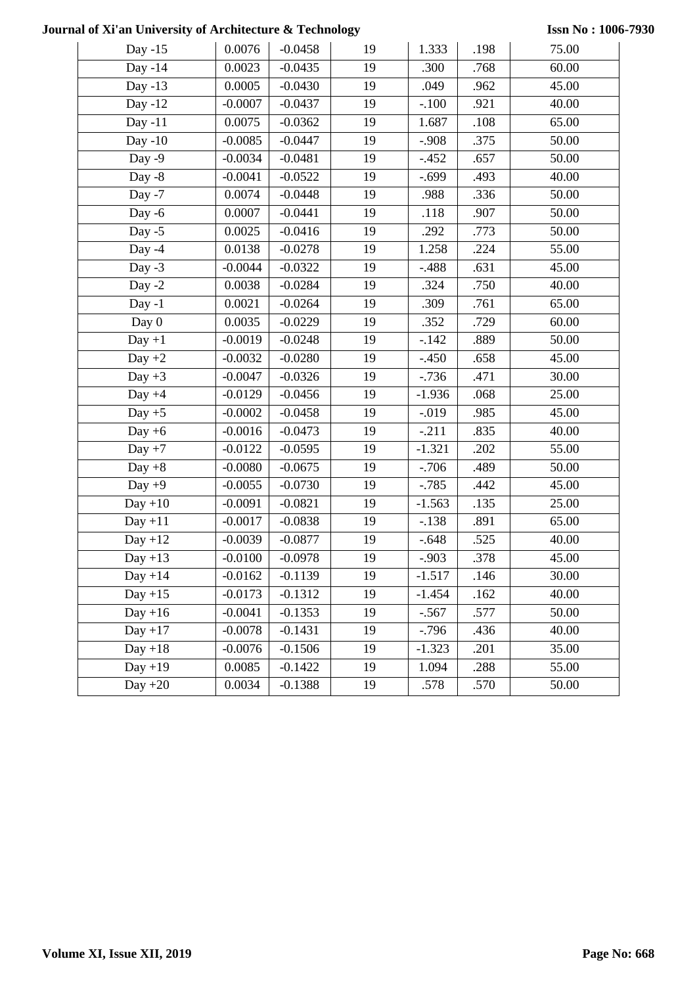**Issn No : 1006-7930**

| Day $-15$  | 0.0076    | $-0.0458$ | 19 | 1.333    | .198 | 75.00 |
|------------|-----------|-----------|----|----------|------|-------|
| Day -14    | 0.0023    | $-0.0435$ | 19 | .300     | .768 | 60.00 |
| Day -13    | 0.0005    | $-0.0430$ | 19 | .049     | .962 | 45.00 |
| Day -12    | $-0.0007$ | $-0.0437$ | 19 | $-.100$  | .921 | 40.00 |
| Day $-11$  | 0.0075    | $-0.0362$ | 19 | 1.687    | .108 | 65.00 |
| Day $-10$  | $-0.0085$ | $-0.0447$ | 19 | $-.908$  | .375 | 50.00 |
| Day $-9$   | $-0.0034$ | $-0.0481$ | 19 | $-.452$  | .657 | 50.00 |
| Day $-8$   | $-0.0041$ | $-0.0522$ | 19 | $-.699$  | .493 | 40.00 |
| Day $-7$   | 0.0074    | $-0.0448$ | 19 | .988     | .336 | 50.00 |
| Day $-6$   | 0.0007    | $-0.0441$ | 19 | .118     | .907 | 50.00 |
| Day $-5$   | 0.0025    | $-0.0416$ | 19 | .292     | .773 | 50.00 |
| Day $-4$   | 0.0138    | $-0.0278$ | 19 | 1.258    | .224 | 55.00 |
| Day $-3$   | $-0.0044$ | $-0.0322$ | 19 | $-.488$  | .631 | 45.00 |
| Day $-2$   | 0.0038    | $-0.0284$ | 19 | .324     | .750 | 40.00 |
| Day $-1$   | 0.0021    | $-0.0264$ | 19 | .309     | .761 | 65.00 |
| Day 0      | 0.0035    | $-0.0229$ | 19 | .352     | .729 | 60.00 |
| $Day +1$   | $-0.0019$ | $-0.0248$ | 19 | $-142$   | .889 | 50.00 |
| Day $+2$   | $-0.0032$ | $-0.0280$ | 19 | $-.450$  | .658 | 45.00 |
| Day $+3$   | $-0.0047$ | $-0.0326$ | 19 | $-0.736$ | .471 | 30.00 |
| Day $+4$   | $-0.0129$ | $-0.0456$ | 19 | $-1.936$ | .068 | 25.00 |
| Day $+5$   | $-0.0002$ | $-0.0458$ | 19 | $-0.019$ | .985 | 45.00 |
| Day $+6$   | $-0.0016$ | $-0.0473$ | 19 | $-.211$  | .835 | 40.00 |
| $Day + 7$  | $-0.0122$ | $-0.0595$ | 19 | $-1.321$ | .202 | 55.00 |
| Day $+8$   | $-0.0080$ | $-0.0675$ | 19 | $-706$   | .489 | 50.00 |
| Day $+9$   | $-0.0055$ | $-0.0730$ | 19 | $-.785$  | .442 | 45.00 |
| $Day + 10$ | $-0.0091$ | $-0.0821$ | 19 | $-1.563$ | .135 | 25.00 |
| $Day + 11$ | $-0.0017$ | $-0.0838$ | 19 | $-.138$  | .891 | 65.00 |
| $Day + 12$ | $-0.0039$ | $-0.0877$ | 19 | $-.648$  | .525 | 40.00 |
| $Day + 13$ | $-0.0100$ | $-0.0978$ | 19 | $-.903$  | .378 | 45.00 |
| $Day + 14$ | $-0.0162$ | $-0.1139$ | 19 | $-1.517$ | .146 | 30.00 |
| $Day + 15$ | $-0.0173$ | $-0.1312$ | 19 | $-1.454$ | .162 | 40.00 |
| $Day + 16$ | $-0.0041$ | $-0.1353$ | 19 | $-.567$  | .577 | 50.00 |
| $Day + 17$ | $-0.0078$ | $-0.1431$ | 19 | $-0.796$ | .436 | 40.00 |
| $Day + 18$ | $-0.0076$ | $-0.1506$ | 19 | $-1.323$ | .201 | 35.00 |
| $Day + 19$ | 0.0085    | $-0.1422$ | 19 | 1.094    | .288 | 55.00 |
| Day $+20$  | 0.0034    | $-0.1388$ | 19 | .578     | .570 | 50.00 |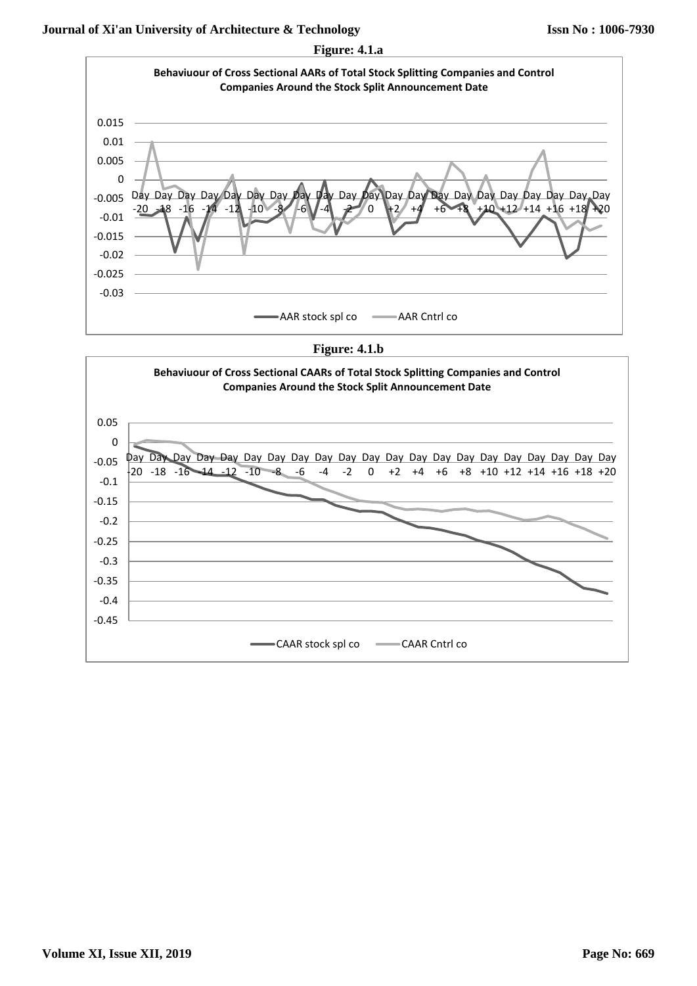

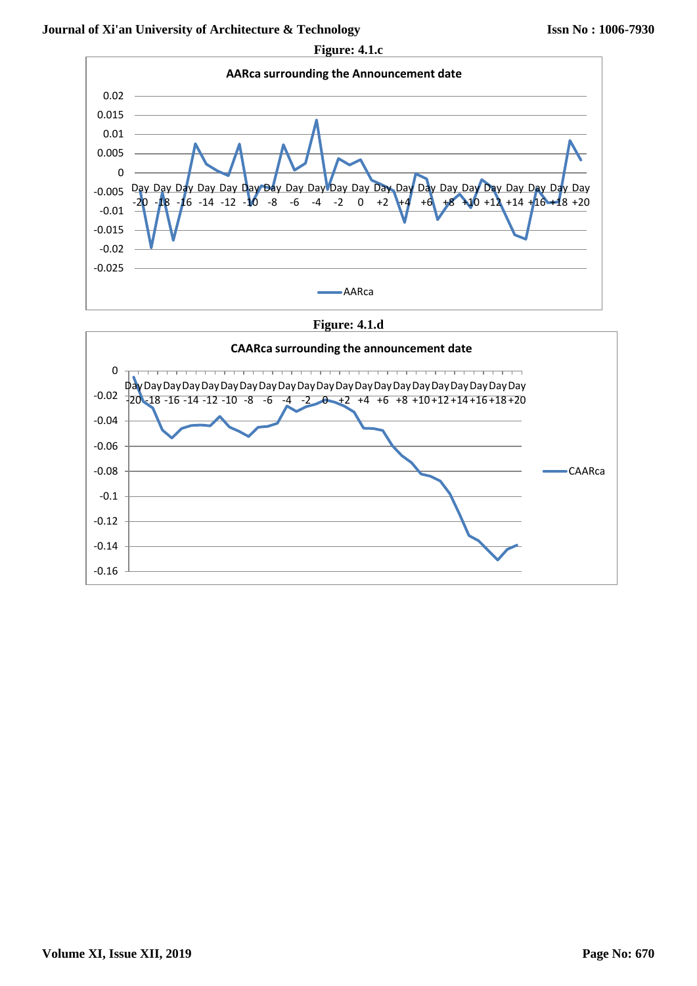